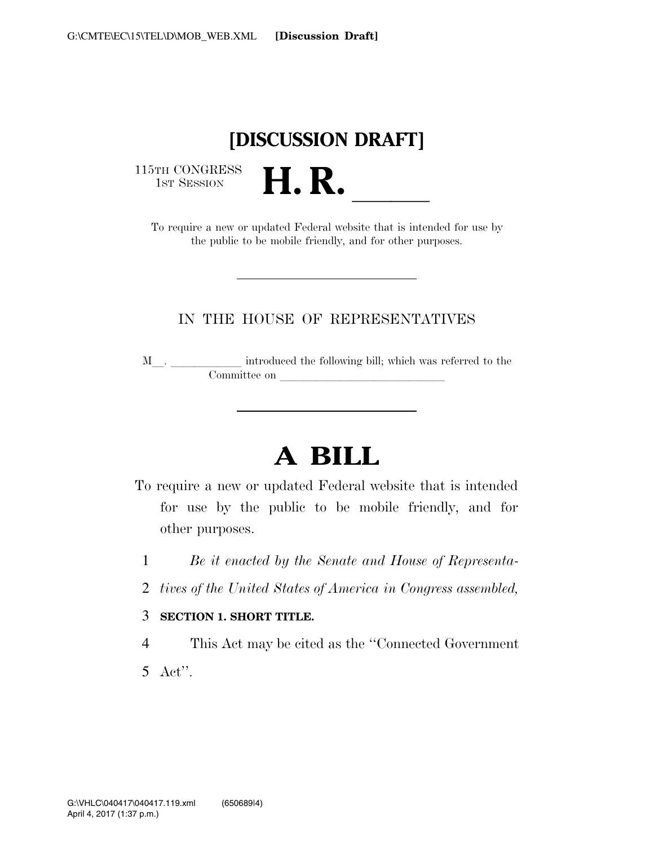## **[DISCUSSION DRAFT]**

115TH CONGRESS<br>1st Session

IST SESSION **H. R. P. A. B. B. B. R. A.** To require a new or updated Federal website that is intended for use by the public to be mobile friendly, and for other purposes.

### IN THE HOUSE OF REPRESENTATIVES

<sup>M</sup>l. llllll introduced the following bill; which was referred to the Committee on later and later on later with the committee on later and later  $\sim$ 

# **A BILL**

- To require a new or updated Federal website that is intended for use by the public to be mobile friendly, and for other purposes.
	- 1 *Be it enacted by the Senate and House of Representa-*
	- 2 *tives of the United States of America in Congress assembled,*
	- 3 **SECTION 1. SHORT TITLE.**

4 This Act may be cited as the ''Connected Government 5 Act''.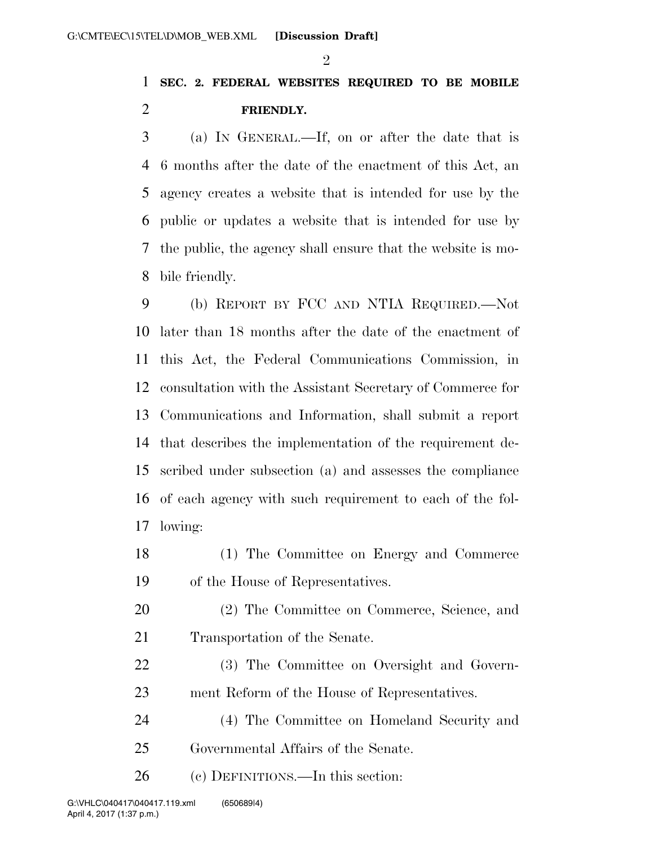#### $\mathfrak{D}$

### **SEC. 2. FEDERAL WEBSITES REQUIRED TO BE MOBILE FRIENDLY.**

 (a) IN GENERAL.—If, on or after the date that is 6 months after the date of the enactment of this Act, an agency creates a website that is intended for use by the public or updates a website that is intended for use by the public, the agency shall ensure that the website is mo-bile friendly.

 (b) REPORT BY FCC AND NTIA REQUIRED.—Not later than 18 months after the date of the enactment of this Act, the Federal Communications Commission, in consultation with the Assistant Secretary of Commerce for Communications and Information, shall submit a report that describes the implementation of the requirement de- scribed under subsection (a) and assesses the compliance of each agency with such requirement to each of the fol-lowing:

- (1) The Committee on Energy and Commerce of the House of Representatives.
- (2) The Committee on Commerce, Science, and Transportation of the Senate.
- (3) The Committee on Oversight and Govern-ment Reform of the House of Representatives.
- (4) The Committee on Homeland Security and Governmental Affairs of the Senate.

(c) DEFINITIONS.—In this section: